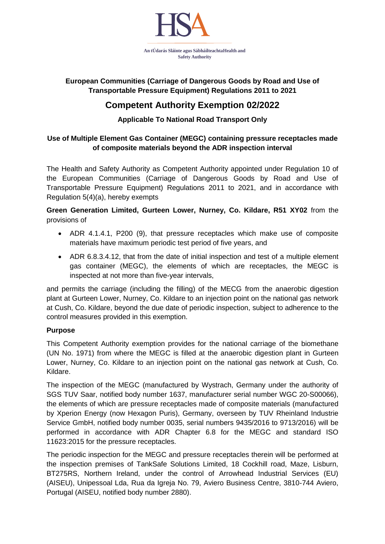

## **European Communities (Carriage of Dangerous Goods by Road and Use of Transportable Pressure Equipment) Regulations 2011 to 2021**

# **Competent Authority Exemption 02/2022**

# **Applicable To National Road Transport Only**

#### **Use of Multiple Element Gas Container (MEGC) containing pressure receptacles made of composite materials beyond the ADR inspection interval**

The Health and Safety Authority as Competent Authority appointed under Regulation 10 of the European Communities (Carriage of Dangerous Goods by Road and Use of Transportable Pressure Equipment) Regulations 2011 to 2021, and in accordance with Regulation 5(4)(a), hereby exempts

## **Green Generation Limited, Gurteen Lower, Nurney, Co. Kildare, R51 XY02** from the provisions of

- ADR 4.1.4.1, P200 (9), that pressure receptacles which make use of composite materials have maximum periodic test period of five years, and
- ADR 6.8.3.4.12, that from the date of initial inspection and test of a multiple element gas container (MEGC), the elements of which are receptacles, the MEGC is inspected at not more than five-year intervals,

and permits the carriage (including the filling) of the MECG from the anaerobic digestion plant at Gurteen Lower, Nurney, Co. Kildare to an injection point on the national gas network at Cush, Co. Kildare, beyond the due date of periodic inspection, subject to adherence to the control measures provided in this exemption.

#### **Purpose**

This Competent Authority exemption provides for the national carriage of the biomethane (UN No. 1971) from where the MEGC is filled at the anaerobic digestion plant in Gurteen Lower, Nurney, Co. Kildare to an injection point on the national gas network at Cush, Co. Kildare.

The inspection of the MEGC (manufactured by Wystrach, Germany under the authority of SGS TUV Saar, notified body number 1637, manufacturer serial number WGC 20-S00066), the elements of which are pressure receptacles made of composite materials (manufactured by Xperion Energy (now Hexagon Puris), Germany, overseen by TUV Rheinland Industrie Service GmbH, notified body number 0035, serial numbers 9435/2016 to 9713/2016) will be performed in accordance with ADR Chapter 6.8 for the MEGC and standard ISO 11623:2015 for the pressure receptacles.

The periodic inspection for the MEGC and pressure receptacles therein will be performed at the inspection premises of TankSafe Solutions Limited, 18 Cockhill road, Maze, Lisburn, BT275RS, Northern Ireland, under the control of Arrowhead Industrial Services (EU) (AISEU), Unipessoal Lda, Rua da Igreja No. 79, Aviero Business Centre, 3810-744 Aviero, Portugal (AISEU, notified body number 2880).